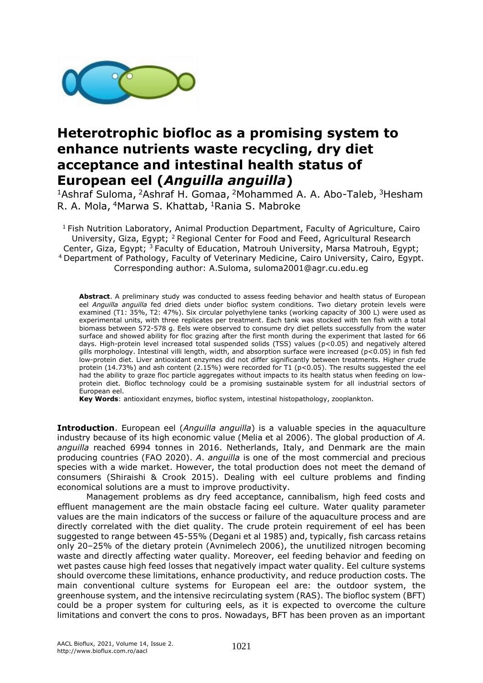

## **Heterotrophic biofloc as a promising system to enhance nutrients waste recycling, dry diet acceptance and intestinal health status of European eel (***Anguilla anguilla***)**

<sup>1</sup>Ashraf Suloma, <sup>2</sup>Ashraf H. Gomaa, <sup>2</sup>Mohammed A. A. Abo-Taleb, <sup>3</sup>Hesham R. A. Mola, <sup>4</sup>Marwa S. Khattab, <sup>1</sup>Rania S. Mabroke

 $1$  Fish Nutrition Laboratory, Animal Production Department, Faculty of Agriculture, Cairo University, Giza, Egypt; <sup>2</sup> Regional Center for Food and Feed, Agricultural Research Center, Giza, Egypt; <sup>3</sup> Faculty of Education, Matrouh University, Marsa Matrouh, Egypt; <sup>4</sup>Department of Pathology, Faculty of Veterinary Medicine, Cairo University, Cairo, Egypt. Corresponding author: A.Suloma, suloma2001@agr.cu.edu.eg

**Abstract**. A preliminary study was conducted to assess feeding behavior and health status of European eel *Anguilla anguilla* fed dried diets under biofloc system conditions. Two dietary protein levels were examined (T1: 35%, T2: 47%). Six circular polyethylene tanks (working capacity of 300 L) were used as experimental units, with three replicates per treatment. Each tank was stocked with ten fish with a total biomass between 572-578 g. Eels were observed to consume dry diet pellets successfully from the water surface and showed ability for floc grazing after the first month during the experiment that lasted for 66 days. High-protein level increased total suspended solids (TSS) values (p<0.05) and negatively altered gills morphology. Intestinal villi length, width, and absorption surface were increased (p<0.05) in fish fed low-protein diet. Liver antioxidant enzymes did not differ significantly between treatments. Higher crude protein (14.73%) and ash content (2.15%) were recorded for T1 (p<0.05). The results suggested the eel had the ability to graze floc particle aggregates without impacts to its health status when feeding on lowprotein diet. Biofloc technology could be a promising sustainable system for all industrial sectors of European eel.

**Key Words**: antioxidant enzymes, biofloc system, intestinal histopathology, zooplankton.

**Introduction**. European eel (*Anguilla anguilla*) is a valuable species in the aquaculture industry because of its high economic value (Melia et al 2006). The global production of *A. anguilla* reached 6994 tonnes in 2016. Netherlands, Italy, and Denmark are the main producing countries (FAO 2020). *A*. *anguilla* is one of the most commercial and precious species with a wide market. However, the total production does not meet the demand of consumers (Shiraishi & Crook 2015). Dealing with eel culture problems and finding economical solutions are a must to improve productivity.

Management problems as dry feed acceptance, cannibalism, high feed costs and effluent management are the main obstacle facing eel culture. Water quality parameter values are the main indicators of the success or failure of the aquaculture process and are directly correlated with the diet quality. The crude protein requirement of eel has been suggested to range between 45-55% (Degani et al 1985) and, typically, fish carcass retains only 20–25% of the dietary protein (Avnimelech 2006), the unutilized nitrogen becoming waste and directly affecting water quality. Moreover, eel feeding behavior and feeding on wet pastes cause high feed losses that negatively impact water quality. Eel culture systems should overcome these limitations, enhance productivity, and reduce production costs. The main conventional culture systems for European eel are: the outdoor system, the greenhouse system, and the intensive recirculating system (RAS). The biofloc system (BFT) could be a proper system for culturing eels, as it is expected to overcome the culture limitations and convert the cons to pros. Nowadays, BFT has been proven as an important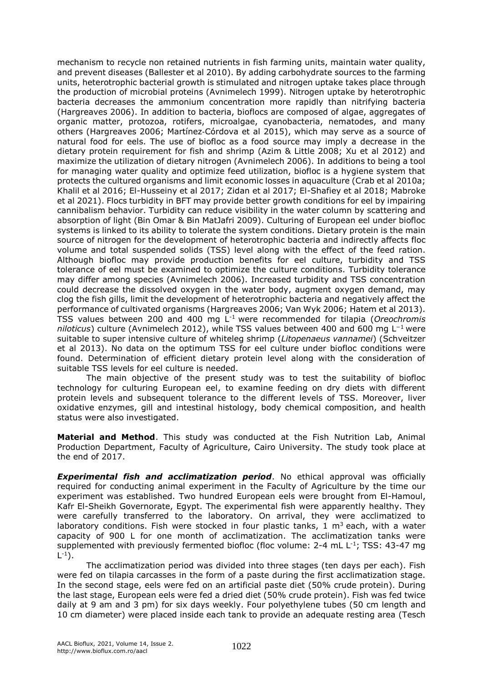mechanism to recycle non retained nutrients in fish farming units, maintain water quality, and prevent diseases (Ballester et al 2010). By adding carbohydrate sources to the farming units, heterotrophic bacterial growth is stimulated and nitrogen uptake takes place through the production of microbial proteins (Avnimelech 1999). Nitrogen uptake by heterotrophic bacteria decreases the ammonium concentration more rapidly than nitrifying bacteria (Hargreaves 2006). In addition to bacteria, bioflocs are composed of algae, aggregates of organic matter, protozoa, rotifers, microalgae, cyanobacteria, nematodes, and many others (Hargreaves 2006; Martínez‐Córdova et al 2015), which may serve as a source of natural food for eels. The use of biofloc as a food source may imply a decrease in the dietary protein requirement for fish and shrimp (Azim & Little 2008; Xu et al 2012) and maximize the utilization of dietary nitrogen (Avnimelech 2006). In additions to being a tool for managing water quality and optimize feed utilization, biofloc is a hygiene system that protects the cultured organisms and limit economic losses in aquaculture (Crab et al 2010a; Khalil et al 2016; El-Husseiny et al 2017; Zidan et al 2017; El-Shafiey et al 2018; Mabroke et al 2021). Flocs turbidity in BFT may provide better growth conditions for eel by impairing cannibalism behavior. Turbidity can reduce visibility in the water column by scattering and absorption of light (Bin Omar & Bin MatJafri 2009). Culturing of European eel under biofloc systems is linked to its ability to tolerate the system conditions. Dietary protein is the main source of nitrogen for the development of heterotrophic bacteria and indirectly affects floc volume and total suspended solids (TSS) level along with the effect of the feed ration. Although biofloc may provide production benefits for eel culture, turbidity and TSS tolerance of eel must be examined to optimize the culture conditions. Turbidity tolerance may differ among species (Avnimelech 2006). Increased turbidity and TSS concentration could decrease the dissolved oxygen in the water body, augment oxygen demand, may clog the fish gills, limit the development of heterotrophic bacteria and negatively affect the performance of cultivated organisms (Hargreaves 2006; Van Wyk 2006; Hatem et al 2013). TSS values between 200 and 400 mg L-1 were recommended for tilapia (*Oreochromis niloticus*) culture (Avnimelech 2012), while TSS values between 400 and 600 mg L−1 were suitable to super intensive culture of whiteleg shrimp (*Litopenaeus vannamei*) (Schveitzer et al 2013). No data on the optimum TSS for eel culture under biofloc conditions were found. Determination of efficient dietary protein level along with the consideration of suitable TSS levels for eel culture is needed.

The main objective of the present study was to test the suitability of biofloc technology for culturing European eel, to examine feeding on dry diets with different protein levels and subsequent tolerance to the different levels of TSS. Moreover, liver oxidative enzymes, gill and intestinal histology, body chemical composition, and health status were also investigated.

**Material and Method**. This study was conducted at the Fish Nutrition Lab, Animal Production Department, Faculty of Agriculture, Cairo University. The study took place at the end of 2017.

*Experimental fish and acclimatization period*. No ethical approval was officially required for conducting animal experiment in the Faculty of Agriculture by the time our experiment was established. Two hundred European eels were brought from El-Hamoul, Kafr El-Sheikh Governorate, Egypt. The experimental fish were apparently healthy. They were carefully transferred to the laboratory. On arrival, they were acclimatized to laboratory conditions. Fish were stocked in four plastic tanks, 1  $m<sup>3</sup>$  each, with a water capacity of 900 L for one month of acclimatization. The acclimatization tanks were supplemented with previously fermented biofloc (floc volume: 2-4 mL L<sup>-1</sup>; TSS: 43-47 mg  $\mathsf{L}^{\text{-}1}$ ).

The acclimatization period was divided into three stages (ten days per each). Fish were fed on tilapia carcasses in the form of a paste during the first acclimatization stage. In the second stage, eels were fed on an artificial paste diet (50% crude protein). During the last stage, European eels were fed a dried diet (50% crude protein). Fish was fed twice daily at 9 am and 3 pm) for six days weekly. Four polyethylene tubes (50 cm length and 10 cm diameter) were placed inside each tank to provide an adequate resting area (Tesch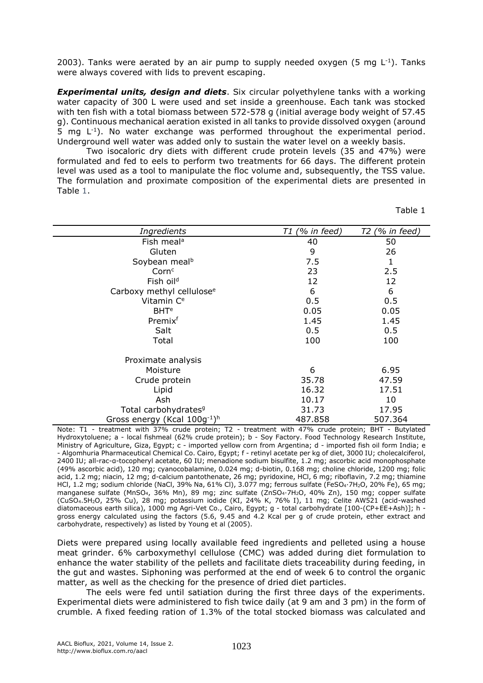2003). Tanks were aerated by an air pump to supply needed oxygen (5 mg  $L^{-1}$ ). Tanks were always covered with lids to prevent escaping.

*Experimental units, design and diets*. Six circular polyethylene tanks with a working water capacity of 300 L were used and set inside a greenhouse. Each tank was stocked with ten fish with a total biomass between 572-578 g (initial average body weight of 57.45 g). Continuous mechanical aeration existed in all tanks to provide dissolved oxygen (around 5 mg  $L^{-1}$ ). No water exchange was performed throughout the experimental period. Underground well water was added only to sustain the water level on a weekly basis.

Two isocaloric dry diets with different crude protein levels (35 and 47%) were formulated and fed to eels to perform two treatments for 66 days. The different protein level was used as a tool to manipulate the floc volume and, subsequently, the TSS value. The formulation and proximate composition of the experimental diets are presented in Table 1.

Table 1

| Ingredients                           | T1 (% in feed) | T2 (% in feed) |
|---------------------------------------|----------------|----------------|
| Fish meal <sup>a</sup>                | 40             | 50             |
| Gluten                                | 9              | 26             |
| Soybean meal <sup>b</sup>             | 7.5            | 1              |
| Corn <sup>c</sup>                     | 23             | 2.5            |
| Fish oil <sup>d</sup>                 | 12             | 12             |
| Carboxy methyl cellulose <sup>e</sup> | 6              | 6              |
| Vitamin C <sup>e</sup>                | 0.5            | 0.5            |
| <b>BHT<sup>e</sup></b>                | 0.05           | 0.05           |
| Premix <sup>f</sup>                   | 1.45           | 1.45           |
| Salt                                  | 0.5            | 0.5            |
| Total                                 | 100            | 100            |
| Proximate analysis                    |                |                |
| Moisture                              | 6              | 6.95           |
| Crude protein                         | 35.78          | 47.59          |
| Lipid                                 | 16.32          | 17.51          |
| Ash                                   | 10.17          | 10             |
| Total carbohydrates <sup>9</sup>      | 31.73          | 17.95          |
| Gross energy (Kcal 100g-1)h           | 487.858        | 507.364        |

Note: T1 - treatment with 37% crude protein; T2 - treatment with 47% crude protein; BHT - Butylated Hydroxytoluene; a - local fishmeal (62% crude protein); b - Soy Factory. Food Technology Research Institute, Ministry of Agriculture, Giza, Egypt; c - imported yellow corn from Argentina; d - imported fish oil form India; e - Algomhuria Pharmaceutical Chemical Co. Cairo, Egypt; f - retinyl acetate per kg of diet, 3000 IU; cholecalciferol, 2400 IU; all-rac-α-tocopheryl acetate, 60 IU; menadione sodium bisulfite, 1.2 mg; ascorbic acid monophosphate (49% ascorbic acid), 120 mg; cyanocobalamine, 0.024 mg; d-biotin, 0.168 mg; choline chloride, 1200 mg; folic acid, 1.2 mg; niacin, 12 mg; d-calcium pantothenate, 26 mg; pyridoxine, HCl, 6 mg; riboflavin, 7.2 mg; thiamine HCl, 1.2 mg; sodium chloride (NaCl, 39% Na, 61% Cl), 3.077 mg; ferrous sulfate (FeSO4·7H2O, 20% Fe), 65 mg; manganese sulfate (MnSO4, 36% Mn), 89 mg; zinc sulfate (ZnSO4·7H2O, 40% Zn), 150 mg; copper sulfate (CuSO4.5H2O, 25% Cu), 28 mg; potassium iodide (KI, 24% K, 76% I), 11 mg; Celite AW521 (acid-washed diatomaceous earth silica), 1000 mg Agri-Vet Co., Cairo, Egypt; g - total carbohydrate [100-(CP+EE+Ash)]; h gross energy calculated using the factors (5.6, 9.45 and 4.2 Kcal per g of crude protein, ether extract and carbohydrate, respectively) as listed by Young et al (2005).

Diets were prepared using locally available feed ingredients and pelleted using a house meat grinder. 6% carboxymethyl cellulose (CMC) was added during diet formulation to enhance the water stability of the pellets and facilitate diets traceability during feeding, in the gut and wastes. Siphoning was performed at the end of week 6 to control the organic matter, as well as the checking for the presence of dried diet particles.

The eels were fed until satiation during the first three days of the experiments. Experimental diets were administered to fish twice daily (at 9 am and 3 pm) in the form of crumble. A fixed feeding ration of 1.3% of the total stocked biomass was calculated and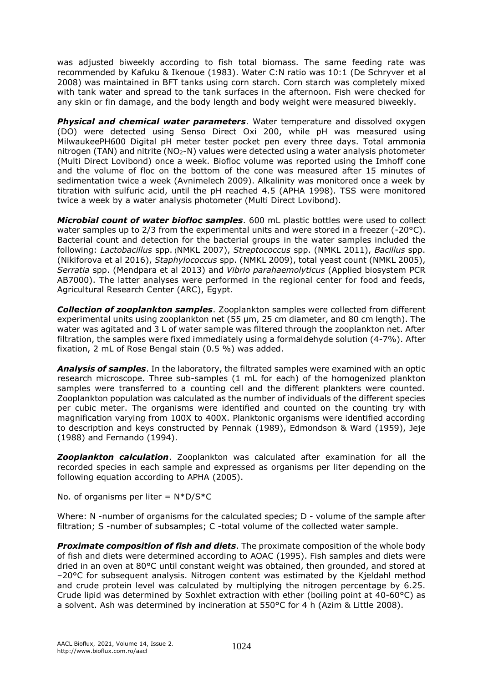was adjusted biweekly according to fish total biomass. The same feeding rate was recommended by Kafuku & Ikenoue (1983). Water C:N ratio was 10:1 (De Schryver et al 2008) was maintained in BFT tanks using corn starch. Corn starch was completely mixed with tank water and spread to the tank surfaces in the afternoon. Fish were checked for any skin or fin damage, and the body length and body weight were measured biweekly.

*Physical and chemical water parameters*. Water temperature and dissolved oxygen (DO) were detected using Senso Direct Oxi 200, while pH was measured using MilwaukeePH600 Digital pH meter tester pocket pen every three days. Total ammonia nitrogen (TAN) and nitrite ( $NO<sub>2</sub>-N$ ) values were detected using a water analysis photometer (Multi Direct Lovibond) once a week. Biofloc volume was reported using the Imhoff cone and the volume of floc on the bottom of the cone was measured after 15 minutes of sedimentation twice a week (Avnimelech 2009). Alkalinity was monitored once a week by titration with sulfuric acid, until the pH reached 4.5 (APHA 1998). TSS were monitored twice a week by a water analysis photometer (Multi Direct Lovibond).

*Microbial count of water biofloc samples*. 600 mL plastic bottles were used to collect water samples up to 2/3 from the experimental units and were stored in a freezer (-20°C). Bacterial count and detection for the bacterial groups in the water samples included the following: *Lactobacillus* spp. (NMKL 2007), *Streptococcus* spp. (NMKL 2011), *Bacillus* spp. (Nikiforova et al 2016), *Staphylococcus* spp. (NMKL 2009), total yeast count (NMKL 2005), *Serratia* spp. (Mendpara et al 2013) and *Vibrio parahaemolyticus* (Applied biosystem PCR AB7000). The latter analyses were performed in the regional center for food and feeds, Agricultural Research Center (ARC), Egypt.

*Collection of zooplankton samples*. Zooplankton samples were collected from different experimental units using zooplankton net (55 µm, 25 cm diameter, and 80 cm length). The water was agitated and 3 L of water sample was filtered through the zooplankton net. After filtration, the samples were fixed immediately using a formaldehyde solution (4-7%). After fixation, 2 mL of Rose Bengal stain (0.5 %) was added.

*Analysis of samples*. In the laboratory, the filtrated samples were examined with an optic research microscope. Three sub-samples (1 mL for each) of the homogenized plankton samples were transferred to a counting cell and the different plankters were counted. Zooplankton population was calculated as the number of individuals of the different species per cubic meter. The organisms were identified and counted on the counting try with magnification varying from 100X to 400X. Planktonic organisms were identified according to description and keys constructed by Pennak (1989), Edmondson & Ward (1959), Jeje (1988) and Fernando (1994).

*Zooplankton calculation*. Zooplankton was calculated after examination for all the recorded species in each sample and expressed as organisms per liter depending on the following equation according to APHA (2005).

No. of organisms per liter =  $N*D/S*C$ 

Where: N -number of organisms for the calculated species; D - volume of the sample after filtration; S -number of subsamples; C -total volume of the collected water sample.

*Proximate composition of fish and diets*. The proximate composition of the whole body of fish and diets were determined according to AOAC (1995). Fish samples and diets were dried in an oven at 80°C until constant weight was obtained, then grounded, and stored at –20°C for subsequent analysis. Nitrogen content was estimated by the Kjeldahl method and crude protein level was calculated by multiplying the nitrogen percentage by 6.25. Crude lipid was determined by Soxhlet extraction with ether (boiling point at 40-60°C) as a solvent. Ash was determined by incineration at 550°C for 4 h (Azim & Little 2008).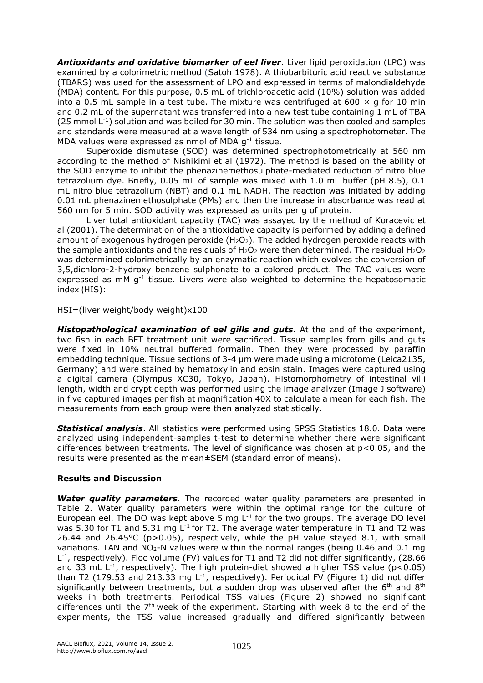*Antioxidants and oxidative biomarker of eel liver*. Liver lipid peroxidation (LPO) was examined by a colorimetric method (Satoh 1978). A thiobarbituric acid reactive substance (TBARS) was used for the assessment of LPO and expressed in terms of malondialdehyde (MDA) content. For this purpose, 0.5 mL of trichloroacetic acid (10%) solution was added into a 0.5 mL sample in a test tube. The mixture was centrifuged at 600  $\times$  g for 10 min and 0.2 mL of the supernatant was transferred into a new test tube containing 1 mL of TBA  $(25 \text{ mmol L}^{-1})$  solution and was boiled for 30 min. The solution was then cooled and samples and standards were measured at a wave length of 534 nm using a spectrophotometer. The MDA values were expressed as nmol of MDA g<sup>-1</sup> tissue.

Superoxide dismutase (SOD) was determined spectrophotometrically at 560 nm according to the method of Nishikimi et al (1972). The method is based on the ability of the SOD enzyme to inhibit the phenazinemethosulphate-mediated reduction of nitro blue tetrazolium dye. Briefly, 0.05 mL of sample was mixed with 1.0 mL buffer (pH 8.5), 0.1 mL nitro blue tetrazolium (NBT) and 0.1 mL NADH. The reaction was initiated by adding 0.01 mL phenazinemethosulphate (PMs) and then the increase in absorbance was read at 560 nm for 5 min. SOD activity was expressed as units per g of protein.

Liver total antioxidant capacity (TAC) was assayed by the method of Koracevic et al (2001). The determination of the antioxidative capacity is performed by adding a defined amount of exogenous hydrogen peroxide  $(H_2O_2)$ . The added hydrogen peroxide reacts with the sample antioxidants and the residuals of  $H_2O_2$  were then determined. The residual  $H_2O_2$ was determined colorimetrically by an enzymatic reaction which evolves the conversion of 3,5,dichloro-2-hydroxy benzene sulphonate to a colored product. The TAC values were expressed as mM  $g^{-1}$  tissue. Livers were also weighted to determine the hepatosomatic index (HIS):

HSI=(liver weight/body weight)x100

*Histopathological examination of eel gills and guts*. At the end of the experiment, two fish in each BFT treatment unit were sacrificed. Tissue samples from gills and guts were fixed in 10% neutral buffered formalin. Then they were processed by paraffin embedding technique. Tissue sections of 3-4 μm were made using a microtome (Leica2135, Germany) and were stained by hematoxylin and eosin stain. Images were captured using a digital camera (Olympus XC30, Tokyo, Japan). Histomorphometry of intestinal villi length, width and crypt depth was performed using the image analyzer (Image J software) in five captured images per fish at magnification 40X to calculate a mean for each fish. The measurements from each group were then analyzed statistically.

*Statistical analysis*. All statistics were performed using SPSS Statistics 18.0. Data were analyzed using independent-samples t-test to determine whether there were significant differences between treatments. The level of significance was chosen at  $p < 0.05$ , and the results were presented as the mean±SEM (standard error of means).

## **Results and Discussion**

*Water quality parameters*. The recorded water quality parameters are presented in Table 2. Water quality parameters were within the optimal range for the culture of European eel. The DO was kept above 5 mg  $L^{-1}$  for the two groups. The average DO level was 5.30 for T1 and 5.31 mg L<sup>-1</sup> for T2. The average water temperature in T1 and T2 was 26.44 and 26.45°C (p>0.05), respectively, while the pH value stayed 8.1, with small variations. TAN and  $NO<sub>2</sub>-N$  values were within the normal ranges (being 0.46 and 0.1 mg L<sup>-1</sup>, respectively). Floc volume (FV) values for T1 and T2 did not differ significantly, (28.66 and 33 mL L<sup>-1</sup>, respectively). The high protein-diet showed a higher TSS value (p<0.05) than T2 (179.53 and 213.33 mg L<sup>-1</sup>, respectively). Periodical FV (Figure 1) did not differ significantly between treatments, but a sudden drop was observed after the  $6<sup>th</sup>$  and  $8<sup>th</sup>$ weeks in both treatments. Periodical TSS values (Figure 2) showed no significant differences until the 7<sup>th</sup> week of the experiment. Starting with week 8 to the end of the experiments, the TSS value increased gradually and differed significantly between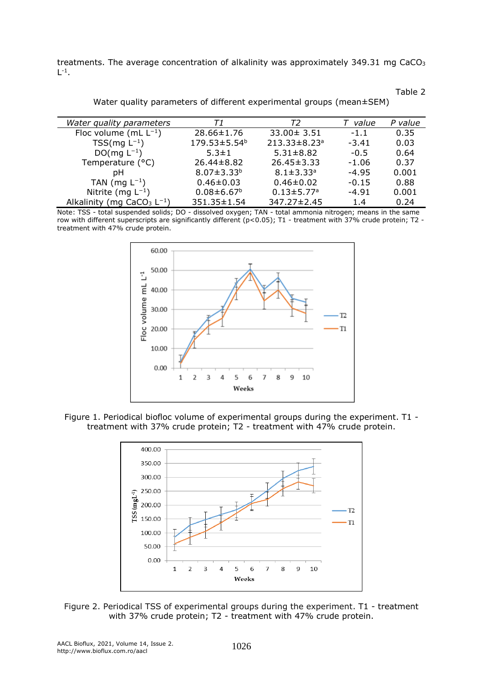treatments. The average concentration of alkalinity was approximately 349.31 mg CaCO<sup>3</sup>  $L^{-1}$ .

| Water quality parameters     | T1                           | T2                           | value   | P value |
|------------------------------|------------------------------|------------------------------|---------|---------|
| Floc volume (mL $L^{-1}$ )   | 28.66±1.76                   | $33.00 \pm 3.51$             | $-1.1$  | 0.35    |
| $TSS(mg L^{-1})$             | 179.53±5.54 <sup>b</sup>     | 213.33±8.23ª                 | $-3.41$ | 0.03    |
| $DO(mg L^{-1})$              | $5.3 \pm 1$                  | $5.31 \pm 8.82$              | $-0.5$  | 0.64    |
| Temperature (°C)             | $26.44 \pm 8.82$             | $26.45 \pm 3.33$             | $-1.06$ | 0.37    |
| рH                           | $8.07 \pm 3.33^{b}$          | $8.1 \pm 3.33$ <sup>a</sup>  | $-4.95$ | 0.001   |
| TAN (mg $L^{-1}$ )           | $0.46 \pm 0.03$              | $0.46 \pm 0.02$              | $-0.15$ | 0.88    |
| Nitrite (mg $L^{-1}$ )       | $0.08 \pm 6.67$ <sup>b</sup> | $0.13 \pm 5.77$ <sup>a</sup> | $-4.91$ | 0.001   |
| Alkalinity (mg $CaCO3 L-1$ ) | 351.35±1.54                  | 347.27±2.45                  | 1.4     | 0.24    |

Water quality parameters of different experimental groups (mean±SEM)

Table 2

Note: TSS - total suspended solids; DO - dissolved oxygen; TAN - total ammonia nitrogen; means in the same row with different superscripts are significantly different (p<0.05); T1 - treatment with 37% crude protein; T2 treatment with 47% crude protein.



Figure 1. Periodical biofloc volume of experimental groups during the experiment. T1 treatment with 37% crude protein; T2 - treatment with 47% crude protein.



Figure 2. Periodical TSS of experimental groups during the experiment. T1 - treatment with 37% crude protein; T2 - treatment with 47% crude protein.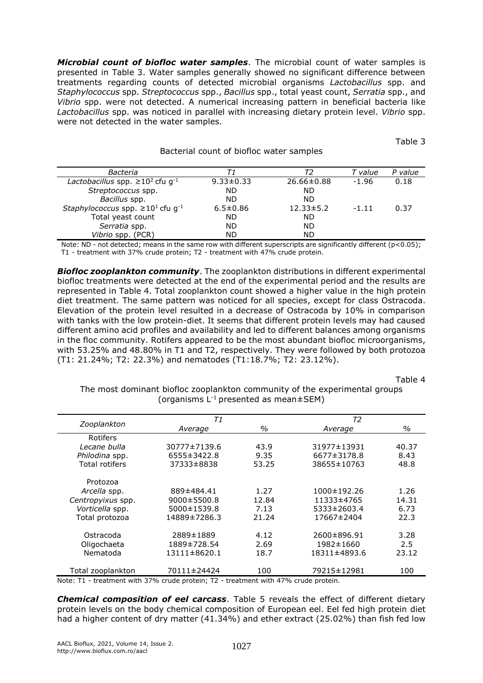*Microbial count of biofloc water samples*. The microbial count of water samples is presented in Table 3. Water samples generally showed no significant difference between treatments regarding counts of detected microbial organisms *Lactobacillus* spp. and *Staphylococcus* spp. *Streptococcus* spp., *Bacillus* spp., total yeast count, *Serratia* spp., and *Vibrio* spp. were not detected. A numerical increasing pattern in beneficial bacteria like *Lactobacillus* spp. was noticed in parallel with increasing dietary protein level. *Vibrio* spp. were not detected in the water samples.

Table 3

| Bacteria                                            | т1              |                  | T value | P value |
|-----------------------------------------------------|-----------------|------------------|---------|---------|
| Lactobacillus spp. $\geq 10^2$ cfu g <sup>-1</sup>  | $9.33 \pm 0.33$ | $26.66 \pm 0.88$ | $-1.96$ | 0.18    |
| Streptococcus spp.                                  | ND              | <b>ND</b>        |         |         |
| Bacillus spp.                                       | ND.             | <b>ND</b>        |         |         |
| Staphylococcus spp. $\geq 10^1$ cfu g <sup>-1</sup> | $6.5 \pm 0.86$  | $12.33 \pm 5.2$  | $-1.11$ | 0.37    |
| Total yeast count                                   | ND              | <b>ND</b>        |         |         |
| Serratia spp.                                       | ND              | <b>ND</b>        |         |         |
| <i>Vibrio</i> spp. (PCR)                            | ND              | ND               |         |         |
|                                                     |                 |                  |         |         |

Bacterial count of biofloc water samples

Note: ND - not detected; means in the same row with different superscripts are significantly different ( $p$ <0.05); T1 - treatment with 37% crude protein; T2 - treatment with 47% crude protein.

*Biofloc zooplankton community*. The zooplankton distributions in different experimental biofloc treatments were detected at the end of the experimental period and the results are represented in Table 4. Total zooplankton count showed a higher value in the high protein diet treatment. The same pattern was noticed for all species, except for class Ostracoda. Elevation of the protein level resulted in a decrease of Ostracoda by 10% in comparison with tanks with the low protein-diet. It seems that different protein levels may had caused different amino acid profiles and availability and led to different balances among organisms in the floc community. Rotifers appeared to be the most abundant biofloc microorganisms, with 53.25% and 48.80% in T1 and T2, respectively. They were followed by both protozoa (T1: 21.24%; T2: 22.3%) and nematodes (T1:18.7%; T2: 23.12%).

Table 4

The most dominant biofloc zooplankton community of the experimental groups (organisms  $L^{-1}$  presented as mean $\pm$ SEM)

| Zooplankton           | T1                |       | T <sub>2</sub> |       |
|-----------------------|-------------------|-------|----------------|-------|
|                       | Average           | $\%$  | Average        | $\%$  |
| Rotifers              |                   |       |                |       |
| Lecane bulla          | 30777±7139.6      | 43.9  | 31977±13931    | 40.37 |
| Philodina spp.        | 6555±3422.8       | 9.35  | 6677±3178.8    | 8.43  |
| <b>Total rotifers</b> | 37333±8838        | 53.25 | 38655±10763    | 48.8  |
| Protozoa              |                   |       |                |       |
| Arcella spp.          | 889±484.41        | 1.27  | 1000±192.26    | 1.26  |
| Centropyixus spp.     | $9000 \pm 5500.8$ | 12.84 | 11333±4765     | 14.31 |
| Vorticella spp.       | 5000±1539.8       | 7.13  | 5333±2603.4    | 6.73  |
| Total protozoa        | 14889±7286.3      | 21.24 | 17667±2404     | 22.3  |
| Ostracoda             | 2889±1889         | 4.12  | 2600±896.91    | 3.28  |
| Oligochaeta           | 1889±728.54       | 2.69  | 1982±1660      | 2.5   |
| Nematoda              | 13111±8620.1      | 18.7  | 18311±4893.6   | 23.12 |
| Total zooplankton     | 70111±24424       | 100   | 79215±12981    | 100   |

Note: T1 - treatment with 37% crude protein; T2 - treatment with 47% crude protein.

*Chemical composition of eel carcass*. Table 5 reveals the effect of different dietary protein levels on the body chemical composition of European eel. Eel fed high protein diet had a higher content of dry matter (41.34%) and ether extract (25.02%) than fish fed low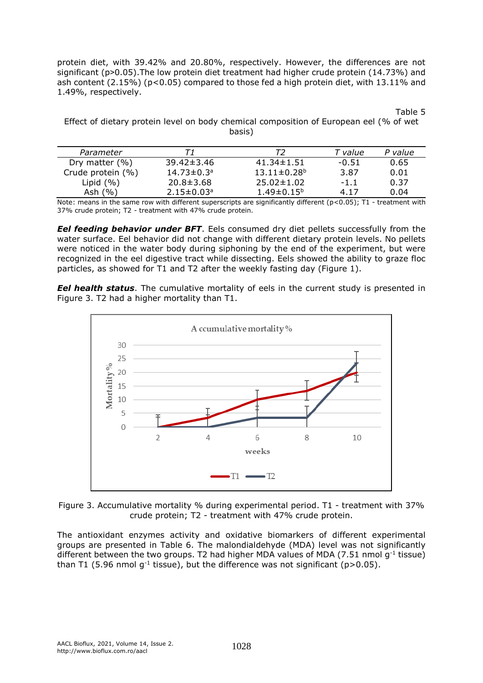protein diet, with 39.42% and 20.80%, respectively. However, the differences are not significant (p˃0.05).The low protein diet treatment had higher crude protein (14.73%) and ash content (2.15%) (p<0.05) compared to those fed a high protein diet, with 13.11% and 1.49%, respectively.

Table 5

Effect of dietary protein level on body chemical composition of European eel (% of wet basis)

| Parameter          |                              |                               | T value | P value |
|--------------------|------------------------------|-------------------------------|---------|---------|
| Dry matter $(\% )$ | $39.42 \pm 3.46$             | $41.34 \pm 1.51$              | $-0.51$ | 0.65    |
| Crude protein (%)  | $14.73 \pm 0.3$ <sup>a</sup> | $13.11 \pm 0.28$ <sup>b</sup> | 3.87    | 0.01    |
| Lipid $(% )$       | $20.8 \pm 3.68$              | $25.02 \pm 1.02$              | $-1.1$  | 0.37    |
| Ash $(%)$          | $2.15 \pm 0.03$ <sup>a</sup> | $1.49 \pm 0.15^{\circ}$       | 4.17    | 0.04    |

Note: means in the same row with different superscripts are significantly different (p<0.05); T1 - treatment with 37% crude protein; T2 - treatment with 47% crude protein.

*Eel feeding behavior under BFT*. Eels consumed dry diet pellets successfully from the water surface. Eel behavior did not change with different dietary protein levels. No pellets were noticed in the water body during siphoning by the end of the experiment, but were recognized in the eel digestive tract while dissecting. Eels showed the ability to graze floc particles, as showed for T1 and T2 after the weekly fasting day (Figure 1).

**Eel health status**. The cumulative mortality of eels in the current study is presented in Figure 3. T2 had a higher mortality than T1.



Figure 3. Accumulative mortality % during experimental period. T1 - treatment with 37% crude protein; T2 - treatment with 47% crude protein.

The antioxidant enzymes activity and oxidative biomarkers of different experimental groups are presented in Table 6. The malondialdehyde (MDA) level was not significantly different between the two groups. T2 had higher MDA values of MDA (7.51 nmol  $g^{-1}$  tissue) than T1 (5.96 nmol g<sup>-1</sup> tissue), but the difference was not significant (p>0.05).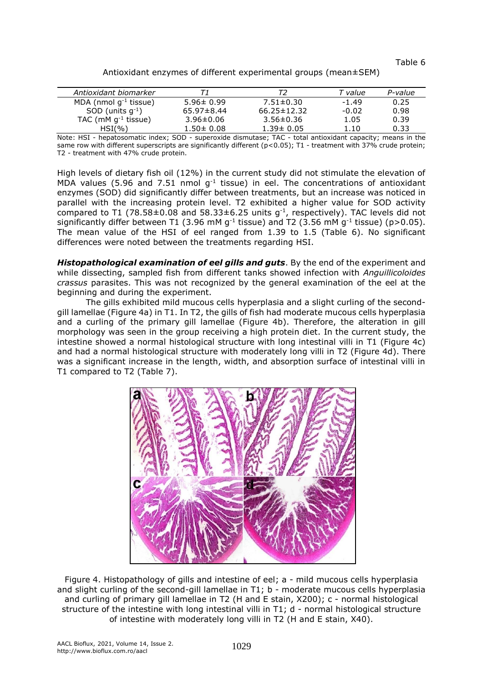Table 6

| Antioxidant enzymes of different experimental groups (mean±SEM) |  |  |
|-----------------------------------------------------------------|--|--|
|-----------------------------------------------------------------|--|--|

| Antioxidant biomarker              |                  |                   | T value | P-value |
|------------------------------------|------------------|-------------------|---------|---------|
| MDA (nmol $q^{-1}$ tissue)         | $5.96 \pm 0.99$  | $7.51 \pm 0.30$   | $-1.49$ | 0.25    |
| SOD (units $g^{-1}$ )              | $65.97 \pm 8.44$ | $66.25 \pm 12.32$ | $-0.02$ | 0.98    |
| TAC ( $mM$ g <sup>-1</sup> tissue) | $3.96 \pm 0.06$  | $3.56 \pm 0.36$   | 1.05    | 0.39    |
| $HSI(\%)$                          | $1.50 \pm 0.08$  | $1.39 \pm 0.05$   | 1.10    | 0.33    |

Note: HSI - hepatosomatic index; SOD - superoxide dismutase; TAC - total antioxidant capacity; means in the same row with different superscripts are significantly different (p<0.05); T1 - treatment with 37% crude protein; T2 - treatment with 47% crude protein.

High levels of dietary fish oil (12%) in the current study did not stimulate the elevation of MDA values (5.96 and 7.51 nmol  $g^{-1}$  tissue) in eel. The concentrations of antioxidant enzymes (SOD) did significantly differ between treatments, but an increase was noticed in parallel with the increasing protein level. T2 exhibited a higher value for SOD activity compared to T1 (78.58 $\pm$ 0.08 and 58.33 $\pm$ 6.25 units g<sup>-1</sup>, respectively). TAC levels did not significantly differ between T1 (3.96 mM g<sup>-1</sup> tissue) and T2 (3.56 mM g<sup>-1</sup> tissue) (p>0.05). The mean value of the HSI of eel ranged from 1.39 to 1.5 (Table 6). No significant differences were noted between the treatments regarding HSI.

*Histopathological examination of eel gills and guts*. By the end of the experiment and while dissecting, sampled fish from different tanks showed infection with *Anguillicoloides crassus* parasites. This was not recognized by the general examination of the eel at the beginning and during the experiment.

The gills exhibited mild mucous cells hyperplasia and a slight curling of the secondgill lamellae (Figure 4a) in T1. In T2, the gills of fish had moderate mucous cells hyperplasia and a curling of the primary gill lamellae (Figure 4b). Therefore, the alteration in gill morphology was seen in the group receiving a high protein diet. In the current study, the intestine showed a normal histological structure with long intestinal villi in T1 (Figure 4c) and had a normal histological structure with moderately long villi in T2 (Figure 4d). There was a significant increase in the length, width, and absorption surface of intestinal villi in T1 compared to T2 (Table 7).



Figure 4. Histopathology of gills and intestine of eel; a - mild mucous cells hyperplasia and slight curling of the second-gill lamellae in T1; b - moderate mucous cells hyperplasia and curling of primary gill lamellae in T2 (H and E stain, X200); c - normal histological structure of the intestine with long intestinal villi in T1; d - normal histological structure of intestine with moderately long villi in T2 (H and E stain, X40).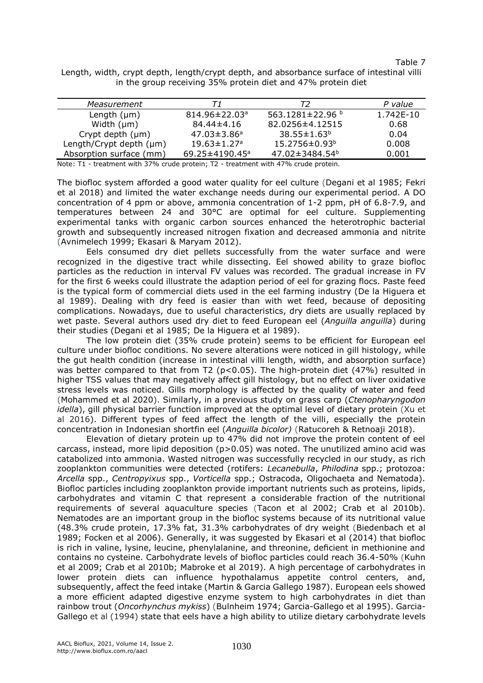Table 7

Length, width, crypt depth, length/crypt depth, and absorbance surface of intestinal villi in the group receiving 35% protein diet and 47% protein diet

| Measurement             | Т1                               | Т2                                 | P value   |
|-------------------------|----------------------------------|------------------------------------|-----------|
| Length $(\mu m)$        | $814.96 \pm 22.03$ <sup>a</sup>  | 563.1281 $\pm$ 22.96 $\frac{1}{2}$ | 1.742F-10 |
| Width $(\mu m)$         | $84.44 \pm 4.16$                 | 82.0256±4.12515                    | 0.68      |
| Crypt depth $(\mu m)$   | $47.03 \pm 3.86$ <sup>a</sup>    | $38.55 \pm 1.63^b$                 | 0.04      |
| Length/Crypt depth (µm) | $19.63 \pm 1.27$ <sup>a</sup>    | $15.2756 \pm 0.93^b$               | 0.008     |
| Absorption surface (mm) | 69.25 $\pm$ 4190.45 <sup>a</sup> | 47.02±3484.54 <sup>b</sup>         | 0.001     |

Note: T1 - treatment with 37% crude protein; T2 - treatment with 47% crude protein.

The biofloc system afforded a good water quality for eel culture (Degani et al 1985; Fekri et al 2018) and limited the water exchange needs during our experimental period. A DO concentration of 4 ppm or above, ammonia concentration of 1-2 ppm, pH of 6.8-7.9, and temperatures between 24 and 30°C are optimal for eel culture. Supplementing experimental tanks with organic carbon sources enhanced the heterotrophic bacterial growth and subsequently increased nitrogen fixation and decreased ammonia and nitrite (Avnimelech 1999; Ekasari & Maryam 2012).

Eels consumed dry diet pellets successfully from the water surface and were recognized in the digestive tract while dissecting. Eel showed ability to graze biofloc particles as the reduction in interval FV values was recorded. The gradual increase in FV for the first 6 weeks could illustrate the adaption period of eel for grazing flocs. Paste feed is the typical form of commercial diets used in the eel farming industry (De la Higuera et al 1989). Dealing with dry feed is easier than with wet feed, because of depositing complications. Nowadays, due to useful characteristics, dry diets are usually replaced by wet paste. Several authors used dry diet to feed European eel (*Anguilla anguilla*) during their studies (Degani et al 1985; De la Higuera et al 1989).

The low protein diet (35% crude protein) seems to be efficient for European eel culture under biofloc conditions. No severe alterations were noticed in gill histology, while the gut health condition (increase in intestinal villi length, width, and absorption surface) was better compared to that from T2 (p<0.05). The high-protein diet (47%) resulted in higher TSS values that may negatively affect gill histology, but no effect on liver oxidative stress levels was noticed. Gills morphology is affected by the quality of water and feed [\(Mohammed](https://onlinelibrary.wiley.com/action/doSearch?ContribAuthorStored=Mohammed%2C+Eman) et al 2020). Similarly, in a previous study on grass carp (*Ctenopharyngodon idella*), gill physical barrier function improved at the optimal level of dietary protein (Xu et al 2016). Different types of feed affect the length of the villi, especially the protein concentration in Indonesian shortfin eel (*Anguilla bicolor)* (Ratucoreh & Retnoaji 2018).

Elevation of dietary protein up to 47% did not improve the protein content of eel carcass, instead, more lipid deposition ( $p>0.05$ ) was noted. The unutilized amino acid was catabolized into ammonia. Wasted nitrogen was successfully recycled in our study, as rich zooplankton communities were detected (rotifers: *Lecanebulla*, *Philodina* spp.; protozoa: *Arcella* spp., *Centropyixus* spp., *Vorticella* spp.; Ostracoda, Oligochaeta and Nematoda). Biofloc particles including zooplankton provide important nutrients such as proteins, lipids, carbohydrates and vitamin C that represent a considerable fraction of the nutritional requirements of several aquaculture species (Tacon et al 2002; Crab et al 2010b). Nematodes are an important group in the biofloc systems because of its nutritional value (48.3% crude protein, 17.3% fat, 31.3% carbohydrates of dry weight (Biedenbach et al 1989; Focken et al 2006). Generally, it was suggested by Ekasari et al (2014) that biofloc is rich in valine, lysine, leucine, phenylalanine, and threonine, deficient in methionine and contains no cysteine. Carbohydrate levels of biofloc particles could reach 36.4-50% (Kuhn et al 2009; Crab et al 2010b; Mabroke et al 2019). A high percentage of carbohydrates in lower protein diets can influence hypothalamus appetite control centers, and, subsequently, affect the feed intake (Martin & Garcia Gallego 1987). European eels showed a more efficient adapted digestive enzyme system to high carbohydrates in diet than rainbow trout (*Oncorhynchus mykiss*) (Bulnheim 1974; Garcia-Gallego et al 1995). Garcia-Gallego et al (1994) state that eels have a high ability to utilize dietary carbohydrate levels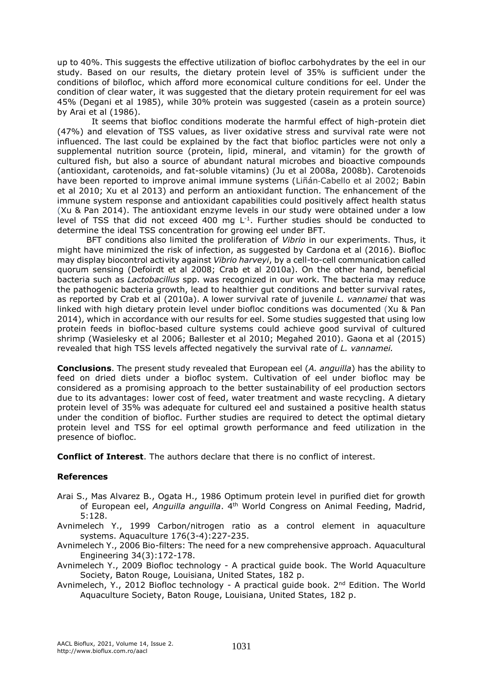up to 40%. This suggests the effective utilization of biofloc carbohydrates by the eel in our study. Based on our results, the dietary protein level of 35% is sufficient under the conditions of bilofloc, which afford more economical culture conditions for eel. Under the condition of clear water, it was suggested that the dietary protein requirement for eel was 45% (Degani et al 1985), while 30% protein was suggested (casein as a protein source) by Arai et al (1986).

It seems that biofloc conditions moderate the harmful effect of high-protein diet (47%) and elevation of TSS values, as liver oxidative stress and survival rate were not influenced. The last could be explained by the fact that biofloc particles were not only a supplemental nutrition source (protein, lipid, mineral, and vitamin) for the growth of cultured fish, but also a source of abundant natural microbes and bioactive compounds (antioxidant, carotenoids, and fat-soluble vitamins) (Ju et al 2008a, 2008b). Carotenoids have been reported to improve animal immune systems (Liñán‐Cabello et al 2002; Babin et al 2010; Xu et al 2013) and perform an antioxidant function. The enhancement of the immune system response and antioxidant capabilities could positively affect health status (Xu & Pan 2014). The antioxidant enzyme levels in our study were obtained under a low level of TSS that did not exceed 400 mg  $L^{-1}$ . Further studies should be conducted to determine the ideal TSS concentration for growing eel under BFT.

BFT conditions also limited the proliferation of *Vibrio* in our experiments. Thus, it might have minimized the risk of infection, as suggested by Cardona et al (2016). Biofloc may display biocontrol activity against *Vibrio harveyi*, by a cell-to-cell communication called quorum sensing (Defoirdt et al 2008; Crab et al 2010a). On the other hand, beneficial bacteria such as *Lactobacillus* spp. was recognized in our work. The bacteria may reduce the pathogenic bacteria growth, lead to healthier gut conditions and better survival rates, as reported by Crab et al (2010a). A lower survival rate of juvenile *L. vannamei* that was linked with high dietary protein level under biofloc conditions was documented (Xu & Pan 2014), which in accordance with our results for eel. Some studies suggested that using low protein feeds in biofloc-based culture systems could achieve good survival of cultured shrimp (Wasielesky et al 2006; Ballester et al 2010; Megahed 2010). Gaona et al (2015) revealed that high TSS levels affected negatively the survival rate of *L. vannamei.*

**Conclusions**. The present study revealed that European eel (*A. anguilla*) has the ability to feed on dried diets under a biofloc system. Cultivation of eel under biofloc may be considered as a promising approach to the better sustainability of eel production sectors due to its advantages: lower cost of feed, water treatment and waste recycling. A dietary protein level of 35% was adequate for cultured eel and sustained a positive health status under the condition of biofloc. Further studies are required to detect the optimal dietary protein level and TSS for eel optimal growth performance and feed utilization in the presence of biofloc.

**Conflict of Interest**. The authors declare that there is no conflict of interest.

## **References**

- Arai S., Mas Alvarez B., Ogata H., 1986 Optimum protein level in purified diet for growth of European eel, *Anguilla anguilla*. 4<sup>th</sup> World Congress on Animal Feeding, Madrid, 5:128.
- Avnimelech Y., 1999 Carbon/nitrogen ratio as a control element in aquaculture systems. Aquaculture 176(3-4):227-235.
- Avnimelech Y., 2006 Bio-filters: The need for a new comprehensive approach. Aquacultural Engineering 34(3):172-178.
- Avnimelech Y., 2009 Biofloc technology A practical guide book. The World Aquaculture Society, Baton Rouge, Louisiana, United States, 182 p.
- Avnimelech, Y., 2012 Biofloc technology A practical guide book.  $2^{nd}$  Edition. The World Aquaculture Society, Baton Rouge, Louisiana, United States, 182 p.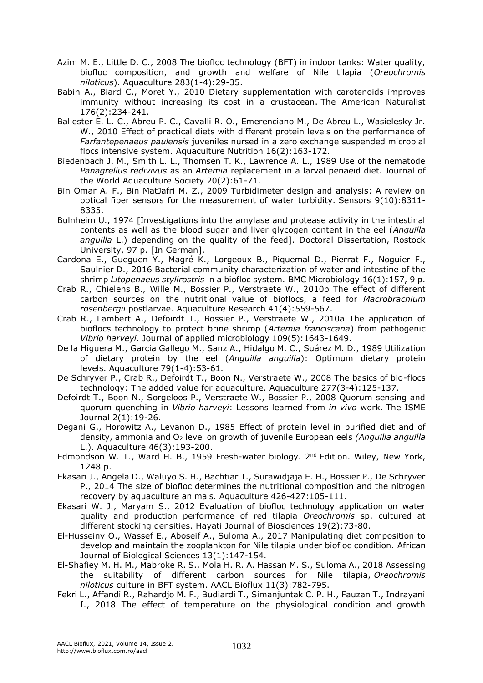- Azim M. E., Little D. C., 2008 The biofloc technology (BFT) in indoor tanks: Water quality, biofloc composition, and growth and welfare of Nile tilapia (*Oreochromis niloticus*). Aquaculture 283(1-4):29-35.
- Babin A., Biard C., Moret Y., 2010 Dietary supplementation with carotenoids improves immunity without increasing its cost in a crustacean. The American Naturalist 176(2):234-241.
- Ballester E. L. C., Abreu P. C., Cavalli R. O., Emerenciano M., De Abreu L., Wasielesky Jr. W., 2010 Effect of practical diets with different protein levels on the performance of *Farfantepenaeus paulensis* juveniles nursed in a zero exchange suspended microbial flocs intensive system. Aquaculture Nutrition 16(2):163-172.
- Biedenbach J. M., Smith L. L., Thomsen T. K., Lawrence A. L., 1989 Use of the nematode *Panagrellus redivivus* as an *Artemia* replacement in a larval penaeid diet. Journal of the World Aquaculture Society 20(2):61-71.
- Bin Omar A. F., Bin MatJafri M. Z., 2009 Turbidimeter design and analysis: A review on optical fiber sensors for the measurement of water turbidity. Sensors 9(10):8311- 8335.
- Bulnheim U., 1974 [Investigations into the amylase and protease activity in the intestinal contents as well as the blood sugar and liver glycogen content in the eel (*Anguilla anguilla* L.) depending on the quality of the feed]. Doctoral Dissertation, Rostock University, 97 p. [In German].
- Cardona E., Gueguen Y., Magré K., Lorgeoux B., Piquemal D., Pierrat F., Noguier F., Saulnier D., 2016 Bacterial community characterization of water and intestine of the shrimp *Litopenaeus stylirostris* in a biofloc system. BMC Microbiology 16(1):157, 9 p.
- Crab R., Chielens B., Wille M., Bossier P., Verstraete W., 2010b The effect of different carbon sources on the nutritional value of bioflocs, a feed for *Macrobrachium rosenbergii* postlarvae. Aquaculture Research 41(4):559-567.
- Crab R., Lambert A., Defoirdt T., Bossier P., Verstraete W., 2010a The application of bioflocs technology to protect brine shrimp (*Artemia franciscana*) from pathogenic *Vibrio harveyi*. Journal of applied microbiology 109(5):1643-1649.
- De la Higuera M., Garcia Gallego M., Sanz A., Hidalgo M. C., Suárez M. D., 1989 Utilization of dietary protein by the eel (*Anguilla anguilla*): Optimum dietary protein levels. Aquaculture 79(1-4):53-61.
- De Schryver P., Crab R., Defoirdt T., Boon N., Verstraete W., 2008 The basics of bio-flocs technology: The added value for aquaculture. Aquaculture 277(3-4):125-137.
- Defoirdt T., Boon N., Sorgeloos P., Verstraete W., Bossier P., 2008 Quorum sensing and quorum quenching in *Vibrio harveyi*: Lessons learned from *in vivo* work. The ISME Journal 2(1):19-26.
- Degani G., Horowitz A., Levanon D., 1985 Effect of protein level in purified diet and of density, ammonia and O<sup>2</sup> level on growth of juvenile European eels *(Anguilla anguilla*  L.). Aquaculture 46(3):193-200.
- Edmondson W. T., Ward H. B., 1959 Fresh-water biology. 2<sup>nd</sup> Edition. Wiley, New York, 1248 p.
- Ekasari J., Angela D., Waluyo S. H., Bachtiar T., Surawidjaja E. H., Bossier P., De Schryver P., 2014 The size of biofloc determines the nutritional composition and the nitrogen recovery by aquaculture animals. Aquaculture 426-427:105-111.
- Ekasari W. J., Maryam S., 2012 Evaluation of biofloc technology application on water quality and production performance of red tilapia *Oreochromis* sp. cultured at different stocking densities. Hayati Journal of Biosciences 19(2):73-80.
- El-Husseiny O., Wassef E., Aboseif A., Suloma A., 2017 Manipulating diet composition to develop and maintain the zooplankton for Nile tilapia under biofloc condition. African Journal of Biological Sciences 13(1):147-154.
- El-Shafiey M. H. M., Mabroke R. S., Mola H. R. A. Hassan M. S., Suloma A., 2018 Assessing the suitability of different carbon sources for Nile tilapia, *Oreochromis niloticus* culture in BFT system. AACL Bioflux 11(3):782-795.
- Fekri L., Affandi R., Rahardjo M. F., Budiardi T., Simanjuntak C. P. H., Fauzan T., Indrayani I., 2018 The effect of temperature on the physiological condition and growth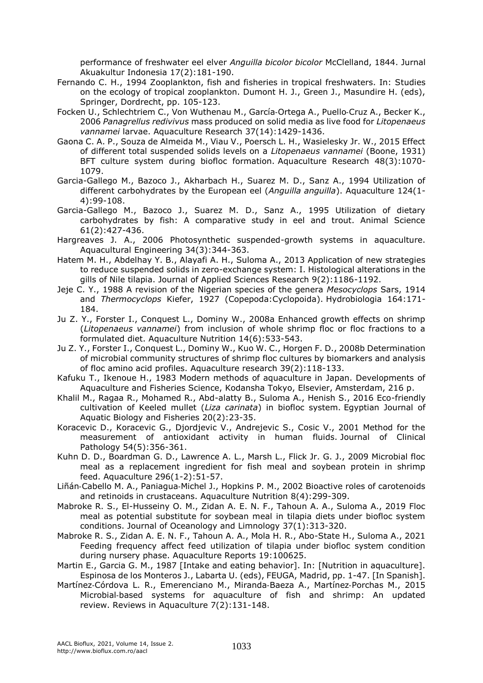performance of freshwater eel elver *Anguilla bicolor bicolor* McClelland, 1844. Jurnal Akuakultur Indonesia 17(2):181-190.

- Fernando C. H., 1994 Zooplankton, fish and fisheries in tropical freshwaters. In: Studies on the ecology of tropical zooplankton. Dumont H. J., Green J., Masundire H. (eds), Springer, Dordrecht, pp. 105-123.
- Focken U., Schlechtriem C., Von Wuthenau M., García‐Ortega A., Puello‐Cruz A., Becker K., 2006 *Panagrellus redivivus* mass produced on solid media as live food for *Litopenaeus vannamei* larvae. Aquaculture Research 37(14):1429-1436.
- Gaona C. A. P., Souza de Almeida M., Viau V., Poersch L. H., Wasielesky Jr. W., 2015 Effect of different total suspended solids levels on a *Litopenaeus vannamei* (Boone, 1931) BFT culture system during biofloc formation. Aquaculture Research 48(3):1070- 1079.
- Garcia-Gallego M., Bazoco J., Akharbach H., Suarez M. D., Sanz A., 1994 Utilization of different carbohydrates by the European eel (*Anguilla anguilla*). Aquaculture 124(1- 4):99-108.
- Garcia-Gallego M., Bazoco J., Suarez M. D., Sanz A., 1995 Utilization of dietary carbohydrates by fish: A comparative study in eel and trout. Animal Science 61(2):427-436.
- Hargreaves J. A., 2006 Photosynthetic suspended-growth systems in aquaculture. Aquacultural Engineering 34(3):344-363.
- Hatem M. H., Abdelhay Y. B., Alayafi A. H., Suloma A., 2013 Application of new strategies to reduce suspended solids in zero-exchange system: I. Histological alterations in the gills of Nile tilapia. Journal of Applied Sciences Research 9(2):1186-1192.
- Jeje C. Y., 1988 A revision of the Nigerian species of the genera *Mesocyclops* Sars, 1914 and *Thermocyclops* Kiefer, 1927 (Copepoda:Cyclopoida). Hydrobiologia 164:171- 184.
- Ju Z. Y., Forster I., Conquest L., Dominy W., 2008a Enhanced growth effects on shrimp (*Litopenaeus vannamei*) from inclusion of whole shrimp floc or floc fractions to a formulated diet. Aquaculture Nutrition 14(6):533-543.
- Ju Z. Y., Forster I., Conquest L., Dominy W., Kuo W. C., Horgen F. D., 2008b Determination of microbial community structures of shrimp floc cultures by biomarkers and analysis of floc amino acid profiles. Aquaculture research 39(2):118-133.
- Kafuku T., Ikenoue H., 1983 Modern methods of aquaculture in Japan. Developments of Aquaculture and Fisheries Science, Kodansha Tokyo, Elsevier, Amsterdam, 216 p.
- Khalil M., Ragaa R., Mohamed R., Abd-alatty B., Suloma A., Henish S., 2016 Eco-friendly cultivation of Keeled mullet (*Liza carinata*) in biofloc system. Egyptian Journal of Aquatic Biology and Fisheries 20(2):23-35.
- Koracevic D., Koracevic G., Djordjevic V., Andrejevic S., Cosic V., 2001 Method for the measurement of antioxidant activity in human fluids. Journal of Clinical Pathology 54(5):356-361.
- Kuhn D. D., Boardman G. D., Lawrence A. L., Marsh L., Flick Jr. G. J., 2009 Microbial floc meal as a replacement ingredient for fish meal and soybean protein in shrimp feed. Aquaculture 296(1-2):51-57.
- Liñán‐Cabello M. A., Paniagua‐Michel J., Hopkins P. M., 2002 Bioactive roles of carotenoids and retinoids in crustaceans. Aquaculture Nutrition 8(4):299-309.
- Mabroke R. S., El-Husseiny O. M., Zidan A. E. N. F., Tahoun A. A., Suloma A., 2019 Floc meal as potential substitute for soybean meal in tilapia diets under biofloc system conditions. Journal of Oceanology and Limnology 37(1):313-320.
- Mabroke R. S., Zidan A. E. N. F., Tahoun A. A., Mola H. R., Abo-State H., Suloma A., 2021 Feeding frequency affect feed utilization of tilapia under biofloc system condition during nursery phase. Aquaculture Reports 19:100625.
- Martin E., Garcia G. M., 1987 [Intake and eating behavior]. In: [Nutrition in aquaculture]. Espinosa de los Monteros J., Labarta U. (eds), FEUGA, Madrid, pp. 1-47. [In Spanish].
- Martínez‐Córdova L. R., Emerenciano M., Miranda‐Baeza A., Martínez‐Porchas M., 2015 Microbial‐based systems for aquaculture of fish and shrimp: An updated review. Reviews in Aquaculture 7(2):131-148.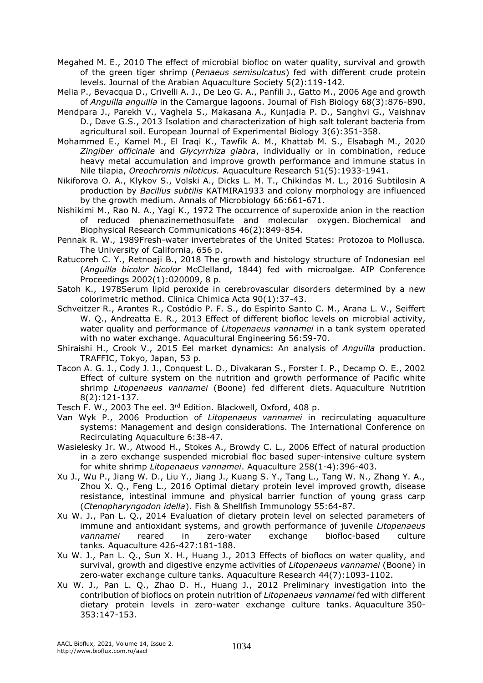Megahed M. E., 2010 The effect of microbial biofloc on water quality, survival and growth of the green tiger shrimp (*Penaeus semisulcatus*) fed with different crude protein levels. Journal of the Arabian Aquaculture Society 5(2):119-142.

Melia P., Bevacqua D., Crivelli A. J., De Leo G. A., Panfili J., Gatto M., 2006 Age and growth of *Anguilla anguilla* in the Camargue lagoons. Journal of Fish Biology 68(3):876-890.

Mendpara J., Parekh V., Vaghela S., Makasana A., Kunjadia P. D., Sanghvi G., Vaishnav D., Dave G.S., 2013 Isolation and characterization of high salt tolerant bacteria from agricultural soil. European Journal of Experimental Biology 3(6):351-358.

Mohammed E., Kamel M., El Iraqi K., Tawfik A. M., Khattab M. S., Elsabagh M., 2020 *Zingiber officinale* and *Glycyrrhiza glabra*, individually or in combination, reduce heavy metal accumulation and improve growth performance and immune status in Nile tilapia, *Oreochromis niloticus.* Aquaculture Research 51(5):1933-1941.

Nikiforova O. A., Klykov S., Volski A., Dicks L. M. T., Chikindas M. L., 2016 Subtilosin A production by *Bacillus subtilis* KATMIRA1933 and colony morphology are influenced by the growth medium. Annals of Microbiology 66:661-671.

Nishikimi M., Rao N. A., Yagi K., 1972 The occurrence of superoxide anion in the reaction of reduced phenazinemethosulfate and molecular oxygen. Biochemical and Biophysical Research Communications 46(2):849-854.

Pennak R. W., 1989Fresh-water invertebrates of the United States: Protozoa to Mollusca. The University of California, 656 p.

Ratucoreh C. Y., Retnoaji B., 2018 The growth and histology structure of Indonesian eel (*Anguilla bicolor bicolor* McClelland, 1844) fed with microalgae. AIP Conference Proceedings 2002(1):020009, 8 p.

Satoh K., 1978Serum lipid peroxide in cerebrovascular disorders determined by a new colorimetric method. Clinica Chimica Acta 90(1):37-43.

Schveitzer R., Arantes R., Costódio P. F. S., do Espírito Santo C. M., Arana L. V., Seiffert W. Q., Andreatta E. R., 2013 Effect of different biofloc levels on microbial activity, water quality and performance of *Litopenaeus vannamei* in a tank system operated with no water exchange. Aquacultural Engineering 56:59-70.

Shiraishi H., Crook V., 2015 Eel market dynamics: An analysis of *Anguilla* production. TRAFFIC, Tokyo, Japan, 53 p.

Tacon A. G. J., Cody J. J., Conquest L. D., Divakaran S., Forster I. P., Decamp O. E., 2002 Effect of culture system on the nutrition and growth performance of Pacific white shrimp *Litopenaeus vannamei* (Boone) fed different diets. Aquaculture Nutrition 8(2):121-137.

Tesch F. W., 2003 The eel. 3<sup>rd</sup> Edition. Blackwell, Oxford, 408 p.

Van Wyk P., 2006 Production of *Litopenaeus vannamei* in recirculating aquaculture systems: Management and design considerations. The International Conference on Recirculating Aquaculture 6:38-47.

Wasielesky Jr. W., Atwood H., Stokes A., Browdy C. L., 2006 Effect of natural production in a zero exchange suspended microbial floc based super-intensive culture system for white shrimp *Litopenaeus vannamei*. Aquaculture 258(1-4):396-403.

Xu J., Wu P., Jiang W. D., Liu Y., Jiang J., Kuang S. Y., Tang L., Tang W. N., Zhang Y. A., Zhou X. Q., Feng L., 2016 Optimal dietary protein level improved growth, disease resistance, intestinal immune and physical barrier function of young grass carp (*Ctenopharyngodon idella*). Fish & Shellfish Immunology 55:64-87.

Xu W. J., Pan L. Q., 2014 Evaluation of dietary protein level on selected parameters of immune and antioxidant systems, and growth performance of juvenile *Litopenaeus vannamei* reared in zero-water exchange biofloc-based culture tanks. Aquaculture 426-427:181-188.

Xu W. J., Pan L. Q., Sun X. H., Huang J., 2013 Effects of bioflocs on water quality, and survival, growth and digestive enzyme activities of *Litopenaeus vannamei* (Boone) in zero‐water exchange culture tanks. Aquaculture Research 44(7):1093-1102.

Xu W. J., Pan L. Q., Zhao D. H., Huang J., 2012 Preliminary investigation into the contribution of bioflocs on protein nutrition of *Litopenaeus vannamei* fed with different dietary protein levels in zero-water exchange culture tanks. Aquaculture 350- 353:147-153.